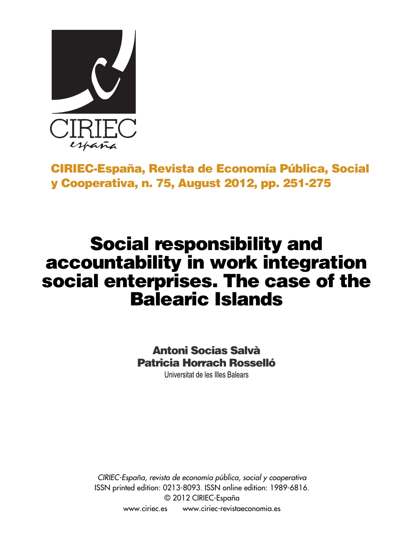

# **CIRIEC-España, Revista de Economía Pública, Social y Cooperativa, n. 75, August 2012, pp. 251-275**

# **Social responsibility and accountability in work integration social enterprises. The case of the Balearic Islands**

# **Antoni Socias Salvà Patricia Horrach Rosselló**

Universitat de les Illes Balears

*CIRIEC-España, revista de economía pública, social y cooperativa* ISSN printed edition: 0213-8093. ISSN online edition: 1989-6816. © 2012 CIRIEC-España www.ciriec.es www.ciriec-revistaeconomia.es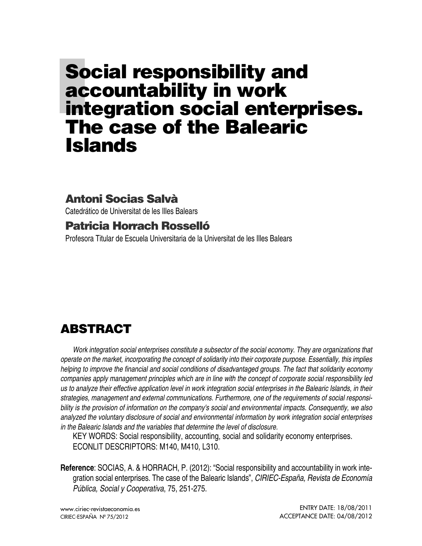# **Social responsibility and accountability in work integration social enterprises. The case of the Balearic Islands**

## **Antoni Socias Salvà**

Catedrático de Universitat de les Illes Balears

### **Patricia Horrach Rosselló**

Profesora Titular de Escuela Universitaria de la Universitat de les Illes Balears

# **ABSTRACT**

*Work integration social enterprises constitute a subsector of the social economy. They are organizations that* operate on the market, incorporating the concept of solidarity into their corporate purpose. Essentially, this implies *helping to improve the financial and social conditions of disadvantaged groups. The fact that solidarity economy companies apply management principles which are in line with the concept of corporate social responsibility led* us to analyze their effective application level in work integration social enterprises in the Balearic Islands, in their *strategies, management and external communications. Furthermore, one of the requirements of social responsi*bility is the provision of information on the company's social and environmental impacts. Consequently, we also *analyzed the voluntary disclosure of social and environmental information by work integration social enterprises in the Balearic Islands and the variables that determine the level of disclosure.*

KEY WORDS: Social responsibility, accounting, social and solidarity economy enterprises. ECONLIT DESCRIPTORS: M140, M410, L310.

**Reference**: SOCIAS, A. & HORRACH, P. (2012): "Social responsibility and accountability in work integration social enterprises. The case of the Balearic Islands", *CIRIEC-España, Revista de Economía Pública, Social y Cooperativa*, 75, 251-275.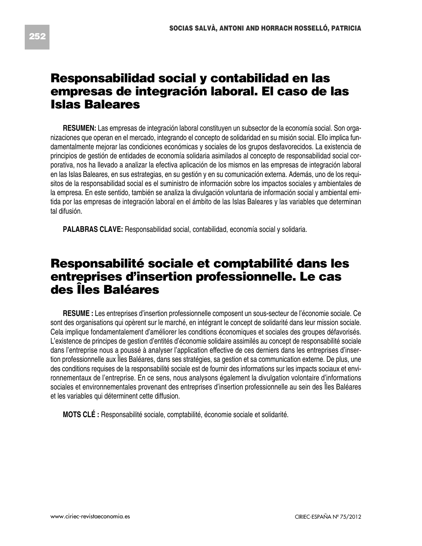# **Responsabilidad social y contabilidad en las empresas de integración laboral. El caso de las Islas Baleares**

**RESUMEN:** Las empresas de integración laboral constituyen un subsector de la economía social. Son organizaciones que operan en el mercado, integrando el concepto de solidaridad en su misión social. Ello implica fundamentalmente mejorar las condiciones económicas y sociales de los grupos desfavorecidos. La existencia de principios de gestión de entidades de economía solidaria asimilados al concepto de responsabilidad social corporativa, nos ha llevado a analizar la efectiva aplicación de los mismos en las empresas de integración laboral en las Islas Baleares, en sus estrategias, en su gestión y en su comunicación externa. Además, uno de los requisitos de la responsabilidad social es el suministro de información sobre los impactos sociales y ambientales de la empresa. En este sentido, también se analiza la divulgación voluntaria de información social y ambiental emitida por las empresas de integración laboral en el ámbito de las Islas Baleares y las variables que determinan tal difusión.

**PALABRAS CLAVE:** Responsabilidad social, contabilidad, economía social y solidaria.

# **Responsabilité sociale et comptabilité dans les entreprises d'insertion professionnelle. Le cas des Îles Baléares**

**RESUME :** Les entreprises d'insertion professionnelle composent un sous-secteur de l'économie sociale. Ce sont des organisations qui opèrent sur le marché, en intégrant le concept de solidarité dans leur mission sociale. Cela implique fondamentalement d'améliorer les conditions économiques et sociales des groupes défavorisés. L'existence de principes de gestion d'entités d'économie solidaire assimilés au concept de responsabilité sociale dans l'entreprise nous a poussé à analyser l'application effective de ces derniers dans les entreprises d'insertion professionnelle aux Îles Baléares, dans ses stratégies, sa gestion et sa communication externe. De plus, une des conditions requises de la responsabilité sociale est de fournir des informations sur les impacts sociaux et environnementaux de l'entreprise. En ce sens, nous analysons également la divulgation volontaire d'informations sociales et environnementales provenant des entreprises d'insertion professionnelle au sein des Îles Baléares et les variables qui déterminent cette diffusion.

**MOTS CLÉ :** Responsabilité sociale, comptabilité, économie sociale et solidarité.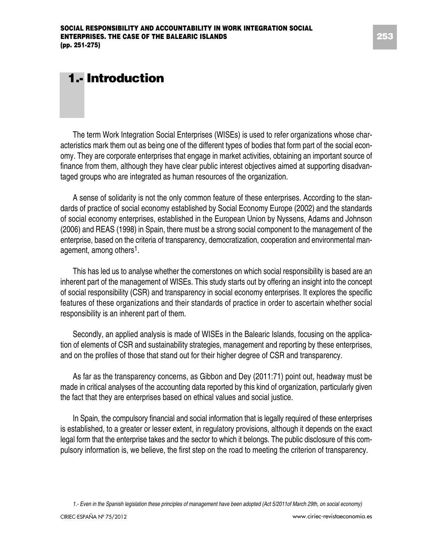# **1.- Introduction**

The term Work Integration Social Enterprises (WISEs) is used to refer organizations whose characteristics mark them out as being one of the different types of bodies that form part of the social economy. They are corporate enterprises that engage in market activities, obtaining an important source of finance from them, although they have clear public interest objectives aimed at supporting disadvantaged groups who are integrated as human resources of the organization.

A sense of solidarity is not the only common feature of these enterprises. According to the standards of practice of social economy established by Social Economy Europe (2002) and the standards of social economy enterprises, established in the European Union by Nyssens, Adams and Johnson (2006) and REAS (1998) in Spain, there must be a strong social component to the management of the enterprise, based on the criteria of transparency, democratization, cooperation and environmental management, among others<sup>1</sup>.

This has led us to analyse whether the cornerstones on which social responsibility is based are an inherent part of the management of WISEs. This study starts out by offering an insight into the concept of social responsibility (CSR) and transparency in social economy enterprises. It explores the specific features of these organizations and their standards of practice in order to ascertain whether social responsibility is an inherent part of them.

Secondly, an applied analysis is made of WISEs in the Balearic Islands, focusing on the application of elements of CSR and sustainability strategies, management and reporting by these enterprises, and on the profiles of those that stand out for their higher degree of CSR and transparency.

As far as the transparency concerns, as Gibbon and Dey (2011:71) point out, headway must be made in critical analyses of the accounting data reported by this kind of organization, particularly given the fact that they are enterprises based on ethical values and social justice.

In Spain, the compulsory financial and social information that is legally required of these enterprises is established, to a greater or lesser extent, in regulatory provisions, although it depends on the exact legal form that the enterprise takes and the sector to which it belongs. The public disclosure of this compulsory information is, we believe, the first step on the road to meeting the criterion of transparency.

1.- Even in the Spanish legislation these principles of management have been adopted (Act 5/2011of March 29th, on social economy)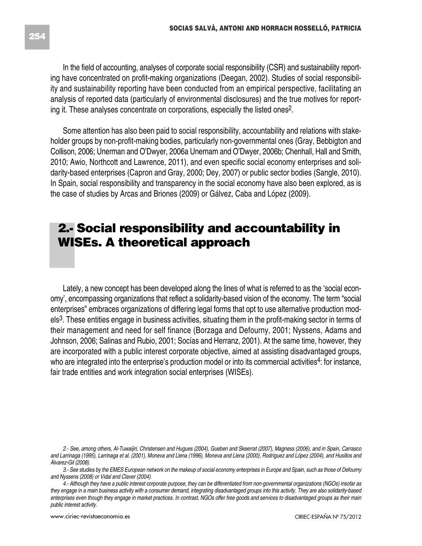In the field of accounting, analyses of corporate social responsibility (CSR) and sustainability reporting have concentrated on profit-making organizations (Deegan, 2002). Studies of social responsibility and sustainability reporting have been conducted from an empirical perspective, facilitating an analysis of reported data (particularly of environmental disclosures) and the true motives for reporting it. These analyses concentrate on corporations, especially the listed ones2.

Some attention has also been paid to social responsibility, accountability and relations with stakeholder groups by non-profit-making bodies, particularly non-governmental ones (Gray, Bebbigton and Collison, 2006; Unerman and O'Dwyer, 2006a Unernam and O'Dwyer, 2006b; Chenhall, Hall and Smith, 2010; Awio, Northcott and Lawrence, 2011), and even specific social economy enterprises and solidarity-based enterprises (Capron and Gray, 2000; Dey, 2007) or public sector bodies (Sangle, 2010). In Spain, social responsibility and transparency in the social economy have also been explored, as is the case of studies by Arcas and Briones (2009) or Gálvez, Caba and López (2009).

# **2.- Social responsibility and accountability in WISEs. A theoretical approach**

Lately, a new concept has been developed along the lines of what is referred to as the 'social economy', encompassing organizations that reflect a solidarity-based vision of the economy. The term "social enterprises" embraces organizations of differing legal forms that opt to use alternative production models<sup>3</sup>. These entities engage in business activities, situating them in the profit-making sector in terms of their management and need for self finance (Borzaga and Defourny, 2001; Nyssens, Adams and Johnson, 2006; Salinas and Rubio, 2001; Socías and Herranz, 2001). At the same time, however, they are incorporated with a public interest corporate objective, aimed at assisting disadvantaged groups, who are integrated into the enterprise's production model or into its commercial activities<sup>4</sup>: for instance, fair trade entities and work integration social enterprises (WISEs).

<sup>2.-</sup> See, among others, Al-Tuwaijiri, Christensen and Hugues (2004), Gueben and Skeerrat (2007), Magness (2006), and in Spain, Carrasco and Larrinaga (1995), Larrinaga et al. (2001), Moneva and Llena (1996), Moneva and Llena (2000), Rodríguez and López (2004), and Husillos and *Álvarez-Gil (2008).*

<sup>3.-</sup> See studies by the EMES European network on the makeup of social economy enterprises in Europe and Spain, such as those of Defourny *and Nyssens (2008) or Vidal and Claver (2004).*

<sup>4.-</sup> Although they have a public interest corporate purpose, they can be differentiated from non-governmental organizations (NGOs) insofar as they engage in a main business activity with a consumer demand, integrating disadvantaged groups into this activity. They are also solidarity-based enterprises even though they engage in market practices. In contrast, NGOs offer free goods and services to disadvantaged groups as their main *public interest activity.*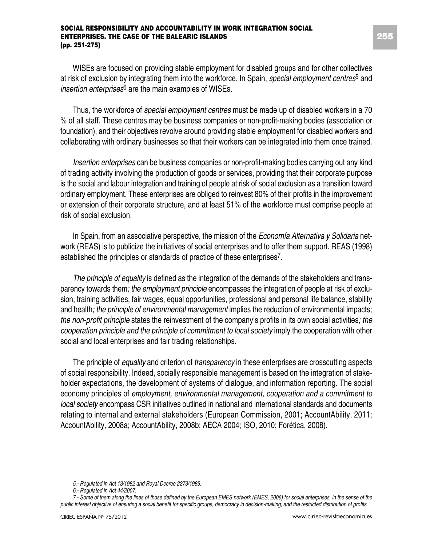WISEs are focused on providing stable employment for disabled groups and for other collectives at risk of exclusion by integrating them into the workforce. In Spain, *special employment centres*<sup>5</sup> and *insertion enterprises*<sup>6</sup> are the main examples of WISEs.

Thus, the workforce of *special employment centres* must be made up of disabled workers in a 70 % of all staff. These centres may be business companies or non-profit-making bodies (association or foundation), and their objectives revolve around providing stable employment for disabled workers and collaborating with ordinary businesses so that their workers can be integrated into them once trained.

*Insertion enterprises* can be business companies or non-profit-making bodies carrying out any kind of trading activity involving the production of goods or services, providing that their corporate purpose is the social and labour integration and training of people at risk of social exclusion as a transition toward ordinary employment. These enterprises are obliged to reinvest 80% of their profits in the improvement or extension of their corporate structure, and at least 51% of the workforce must comprise people at risk of social exclusion.

In Spain, from an associative perspective, the mission of the *Economía Alternativa y Solidaria* network (REAS) is to publicize the initiatives of social enterprises and to offer them support. REAS (1998) established the principles or standards of practice of these enterprises<sup>7</sup>.

*The principle of equality* is defined as the integration of the demands of the stakeholders and transparency towards them*; the employment principle* encompasses the integration of people at risk of exclusion, training activities, fair wages, equal opportunities, professional and personal life balance, stability and health*; the principle of environmental management* implies the reduction of environmental impacts; *the non-profit principle* states the reinvestment of the company's profits in its own social activities*; the cooperation principle and the principle of commitment to local society* imply the cooperation with other social and local enterprises and fair trading relationships.

The principle of *equality* and criterion of *transparency* in these enterprises are crosscutting aspects of social responsibility. Indeed, socially responsible management is based on the integration of stakeholder expectations, the development of systems of dialogue, and information reporting. The social economy principles of *employment, environmental management, cooperation and a commitment to local society* encompass CSR initiatives outlined in national and international standards and documents relating to internal and external stakeholders (European Commission, 2001; AccountAbility, 2011; AccountAbility, 2008a; AccountAbility, 2008b; AECA 2004; ISO, 2010; Forética, 2008).

*<sup>5.-</sup> Regulated in Act 13/1982 and Royal Decree 2273/1985.*

*<sup>6.-</sup> Regulated in Act 44/2007.*

<sup>7.-</sup> Some of them along the lines of those defined by the European EMES network (EMES, 2006) for social enterprises, in the sense of the public interest objective of ensuring a social benefit for specific groups, democracy in decision-making, and the restricted distribution of profits.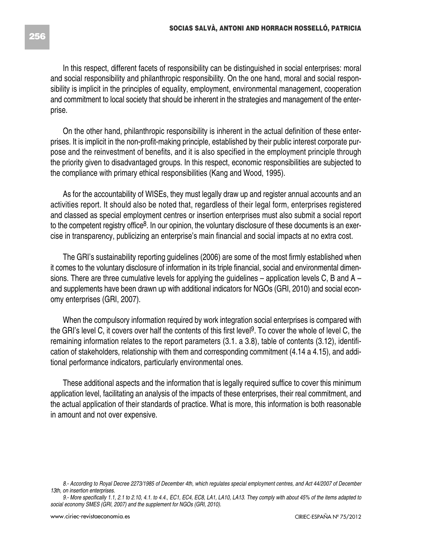On the other hand, philanthropic responsibility is inherent in the actual definition of these enterprises. It is implicit in the non-profit-making principle, established by their public interest corporate purpose and the reinvestment of benefits, and it is also specified in the employment principle through the priority given to disadvantaged groups. In this respect, economic responsibilities are subjected to the compliance with primary ethical responsibilities (Kang and Wood, 1995).

As for the accountability of WISEs, they must legally draw up and register annual accounts and an activities report. It should also be noted that, regardless of their legal form, enterprises registered and classed as special employment centres or insertion enterprises must also submit a social report to the competent registry office<sup>8</sup>. In our opinion, the voluntary disclosure of these documents is an exercise in transparency, publicizing an enterprise's main financial and social impacts at no extra cost.

The GRI's sustainability reporting guidelines (2006) are some of the most firmly established when it comes to the voluntary disclosure of information in its triple financial, social and environmental dimensions. There are three cumulative levels for applying the guidelines – application levels C, B and A – and supplements have been drawn up with additional indicators for NGOs (GRI, 2010) and social economy enterprises (GRI, 2007).

When the compulsory information required by work integration social enterprises is compared with the GRI's level C, it covers over half the contents of this first level 9. To cover the whole of level C, the remaining information relates to the report parameters (3.1. a 3.8), table of contents (3.12), identification of stakeholders, relationship with them and corresponding commitment (4.14 a 4.15), and additional performance indicators, particularly environmental ones.

These additional aspects and the information that is legally required suffice to cover this minimum application level, facilitating an analysis of the impacts of these enterprises, their real commitment, and the actual application of their standards of practice. What is more, this information is both reasonable in amount and not over expensive.

prise.

<sup>8.-</sup> According to Royal Decree 2273/1985 of December 4th, which regulates special employment centres, and Act 44/2007 of December *13th, on insertion enterprises.*

<sup>9.-</sup> More specifically 1.1, 2.1 to 2.10, 4.1, to 4.4., EC1, EC4, EC8, LA1, LA10, LA13. They comply with about 45% of the items adapted to *social economy SMES (GRI, 2007) and the supplement for NGOs (GRI, 2010).*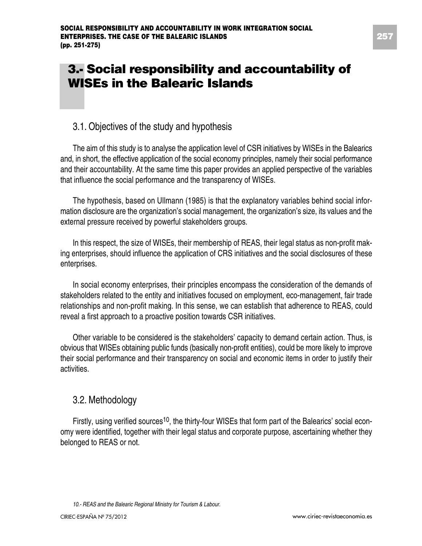# **3.- Social responsibility and accountability of WISEs in the Balearic Islands**

#### 3.1. Objectives of the study and hypothesis

The aim of this study is to analyse the application level of CSR initiatives by WISEs in the Balearics and, in short, the effective application of the social economy principles, namely their social performance and their accountability. At the same time this paper provides an applied perspective of the variables that influence the social performance and the transparency of WISEs.

The hypothesis, based on Ullmann (1985) is that the explanatory variables behind social information disclosure are the organization's social management, the organization's size, its values and the external pressure received by powerful stakeholders groups.

In this respect, the size of WISEs, their membership of REAS, their legal status as non-profit making enterprises, should influence the application of CRS initiatives and the social disclosures of these enterprises.

In social economy enterprises, their principles encompass the consideration of the demands of stakeholders related to the entity and initiatives focused on employment, eco-management, fair trade relationships and non-profit making. In this sense, we can establish that adherence to REAS, could reveal a first approach to a proactive position towards CSR initiatives.

Other variable to be considered is the stakeholders' capacity to demand certain action. Thus, is obvious that WISEs obtaining public funds (basically non-profit entities), could be more likely to improve their social performance and their transparency on social and economic items in order to justify their activities.

#### 3.2. Methodology

Firstly, using verified sources<sup>10</sup>, the thirty-four WISEs that form part of the Balearics' social economy were identified, together with their legal status and corporate purpose, ascertaining whether they belonged to REAS or not.

*<sup>10.-</sup> REAS and the Balearic Regional Ministry for Tourism & Labour.*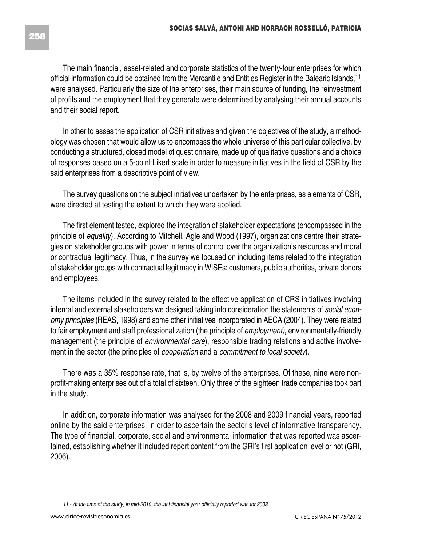The main financial, asset-related and corporate statistics of the twenty-four enterprises for which official information could be obtained from the Mercantile and Entities Register in the Balearic Islands,<sup>11</sup> were analysed. Particularly the size of the enterprises, their main source of funding, the reinvestment of profits and the employment that they generate were determined by analysing their annual accounts and their social report.

In other to asses the application of CSR initiatives and given the objectives of the study, a methodology was chosen that would allow us to encompass the whole universe of this particular collective, by conducting a structured, closed model of questionnaire, made up of qualitative questions and a choice of responses based on a 5-point Likert scale in order to measure initiatives in the field of CSR by the said enterprises from a descriptive point of view.

The survey questions on the subject initiatives undertaken by the enterprises, as elements of CSR, were directed at testing the extent to which they were applied.

The first element tested, explored the integration of stakeholder expectations (encompassed in the principle of *equality*). According to Mitchell, Agle and Wood (1997), organizations centre their strategies on stakeholder groups with power in terms of control over the organization's resources and moral or contractual legitimacy. Thus, in the survey we focused on including items related to the integration of stakeholder groups with contractual legitimacy in WISEs: customers, public authorities, private donors and employees.

The items included in the survey related to the effective application of CRS initiatives involving internal and external stakeholders we designed taking into consideration the statements of *social economy principles* (REAS, 1998) and some other initiatives incorporated in AECA (2004). They were related to fair employment and staff professionalization (the principle of *employment)*, environmentally-friendly management (the principle of *environmental care*), responsible trading relations and active involvement in the sector (the principles of *cooperation* and a *commitment to local society*).

There was a 35% response rate, that is, by twelve of the enterprises. Of these, nine were nonprofit-making enterprises out of a total of sixteen. Only three of the eighteen trade companies took part in the study.

In addition, corporate information was analysed for the 2008 and 2009 financial years, reported online by the said enterprises, in order to ascertain the sector's level of informative transparency. The type of financial, corporate, social and environmental information that was reported was ascertained, establishing whether it included report content from the GRI's first application level or not (GRI, 2006).

<sup>11.-</sup> At the time of the study, in mid-2010, the last financial year officially reported was for 2008.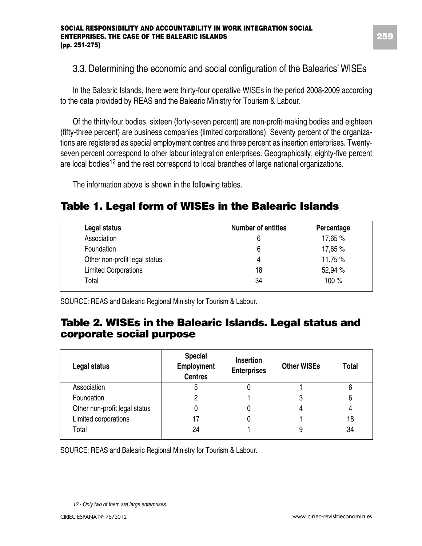#### 3.3. Determining the economic and social configuration of the Balearics' WISEs

In the Balearic Islands, there were thirty-four operative WISEs in the period 2008-2009 according to the data provided by REAS and the Balearic Ministry for Tourism & Labour.

Of the thirty-four bodies, sixteen (forty-seven percent) are non-profit-making bodies and eighteen (fifty-three percent) are business companies (limited corporations). Seventy percent of the organizations are registered as special employment centres and three percent as insertion enterprises. Twentyseven percent correspond to other labour integration enterprises. Geographically, eighty-five percent are local bodies<sup>12</sup> and the rest correspond to local branches of large national organizations.

The information above is shown in the following tables.

### **Table 1. Legal form of WISEs in the Balearic Islands**

| Legal status                  | <b>Number of entities</b> | Percentage |
|-------------------------------|---------------------------|------------|
| Association                   | 6                         | 17,65 %    |
| Foundation                    | 6                         | 17,65 %    |
| Other non-profit legal status | 4                         | 11,75 %    |
| <b>Limited Corporations</b>   | 18                        | 52,94 %    |
| Total                         | 34                        | 100%       |

SOURCE: REAS and Balearic Regional Ministry for Tourism & Labour.

### **Table 2. WISEs in the Balearic Islands. Legal status and corporate social purpose**

| Legal status                  | <b>Special</b><br>Employment<br><b>Centres</b> | <b>Insertion</b><br><b>Enterprises</b> | <b>Other WISEs</b> | Total |
|-------------------------------|------------------------------------------------|----------------------------------------|--------------------|-------|
| Association                   | 5                                              |                                        |                    | 6     |
| Foundation                    | 2                                              |                                        | 3                  | 6     |
| Other non-profit legal status | 0                                              |                                        |                    | 4     |
| Limited corporations          |                                                |                                        |                    | 18    |
| Total                         | 24                                             |                                        | 9                  | 34    |

SOURCE: REAS and Balearic Regional Ministry for Tourism & Labour.

*<sup>12.-</sup> Only two of them are large enterprises.*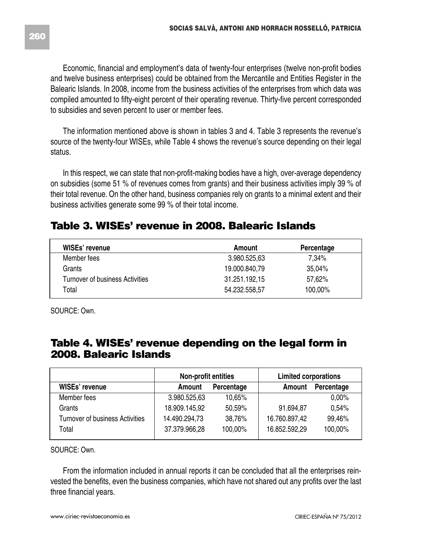Economic, financial and employment's data of twenty-four enterprises (twelve non-profit bodies and twelve business enterprises) could be obtained from the Mercantile and Entities Register in the Balearic Islands. In 2008, income from the business activities of the enterprises from which data was compiled amounted to fifty-eight percent of their operating revenue. Thirty-five percent corresponded to subsidies and seven percent to user or member fees.

The information mentioned above is shown in tables 3 and 4. Table 3 represents the revenue's source of the twenty-four WISEs, while Table 4 shows the revenue's source depending on their legal status.

In this respect, we can state that non-profit-making bodies have a high, over-average dependency on subsidies (some 51 % of revenues comes from grants) and their business activities imply 39 % of their total revenue. On the other hand, business companies rely on grants to a minimal extent and their business activities generate some 99 % of their total income.

### **Table 3. WISEs' revenue in 2008. Balearic Islands**

| WISEs' revenue                  | Amount        | Percentage |
|---------------------------------|---------------|------------|
| Member fees                     | 3.980.525.63  | 7.34%      |
| Grants                          | 19.000.840.79 | 35,04%     |
| Turnover of business Activities | 31.251.192.15 | 57.62%     |
| Total                           | 54.232.558.57 | 100,00%    |

SOURCE: Own.

### **Table 4. WISEs' revenue depending on the legal form in 2008. Balearic Islands**

|                                 | Non-profit entities |            | <b>Limited corporations</b> |            |
|---------------------------------|---------------------|------------|-----------------------------|------------|
| WISEs' revenue                  | Amount              | Percentage | Amount                      | Percentage |
| Member fees                     | 3.980.525,63        | 10.65%     |                             | 0.00%      |
| Grants                          | 18.909.145,92       | 50.59%     | 91.694,87                   | 0.54%      |
| Turnover of business Activities | 14.490.294.73       | 38.76%     | 16.760.897,42               | 99,46%     |
| Total                           | 37.379.966,28       | 100.00%    | 16.852.592.29               | 100,00%    |

SOURCE: Own.

From the information included in annual reports it can be concluded that all the enterprises reinvested the benefits, even the business companies, which have not shared out any profits over the last three financial years.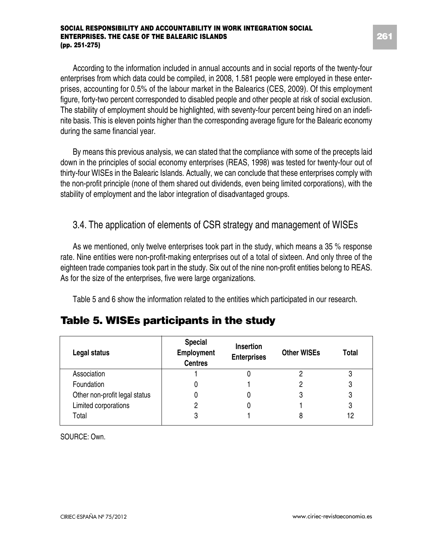According to the information included in annual accounts and in social reports of the twenty-four enterprises from which data could be compiled, in 2008, 1.581 people were employed in these enterprises, accounting for 0.5% of the labour market in the Balearics (CES, 2009). Of this employment figure, forty-two percent corresponded to disabled people and other people at risk of social exclusion. The stability of employment should be highlighted, with seventy-four percent being hired on an indefinite basis. This is eleven points higher than the corresponding average figure for the Balearic economy during the same financial year.

By means this previous analysis, we can stated that the compliance with some of the precepts laid down in the principles of social economy enterprises (REAS, 1998) was tested for twenty-four out of thirty-four WISEs in the Balearic Islands. Actually, we can conclude that these enterprises comply with the non-profit principle (none of them shared out dividends, even being limited corporations), with the stability of employment and the labor integration of disadvantaged groups.

### 3.4. The application of elements of CSR strategy and management of WISEs

As we mentioned, only twelve enterprises took part in the study, which means a 35 % response rate. Nine entities were non-profit-making enterprises out of a total of sixteen. And only three of the eighteen trade companies took part in the study. Six out of the nine non-profit entities belong to REAS. As for the size of the enterprises, five were large organizations.

Table 5 and 6 show the information related to the entities which participated in our research.

| Legal status                  | <b>Special</b><br>Employment<br><b>Centres</b> | <b>Insertion</b><br><b>Enterprises</b> | <b>Other WISEs</b> | Total |
|-------------------------------|------------------------------------------------|----------------------------------------|--------------------|-------|
| Association                   |                                                |                                        |                    |       |
| Foundation                    | 0                                              |                                        |                    | 3     |
| Other non-profit legal status |                                                |                                        | 3                  |       |
| Limited corporations          | 2                                              |                                        |                    | 3     |
| Total                         | 3                                              |                                        |                    | 12    |

### **Table 5. WISEs participants in the study**

SOURCE: Own.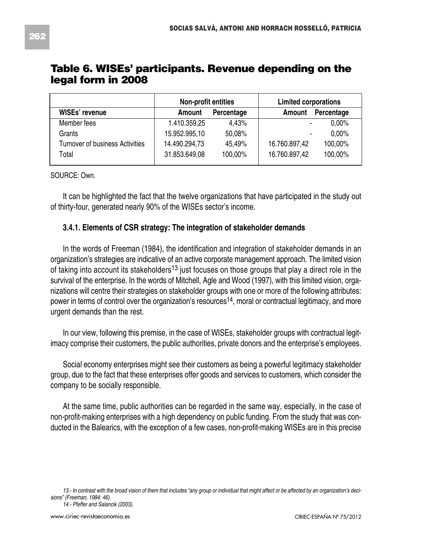|                                 | Non-profit entities |         | <b>Limited corporations</b> |          |
|---------------------------------|---------------------|---------|-----------------------------|----------|
| WISEs' revenue                  | Amount              | Amount  | Percentage                  |          |
| Member fees                     | 1.410.359,25        | 4.43%   | ٠                           | $0.00\%$ |
| Grants                          | 15.952.995.10       | 50.08%  | ٠                           | $0.00\%$ |
| Turnover of business Activities | 14.490.294.73       | 45.49%  | 16.760.897,42               | 100,00%  |
| Total                           | 31.853.649,08       | 100.00% | 16.760.897.42               | 100.00%  |

#### **Table 6. WISEs' participants. Revenue depending on the legal form in 2008**

SOURCE: Own.

It can be highlighted the fact that the twelve organizations that have participated in the study out of thirty-four, generated nearly 90% of the WISEs sector's income.

#### **3.4.1. Elements of CSR strategy: The integration of stakeholder demands**

In the words of Freeman (1984), the identification and integration of stakeholder demands in an organization's strategies are indicative of an active corporate management approach. The limited vision of taking into account its stakeholders<sup>13</sup> just focuses on those groups that play a direct role in the survival of the enterprise. In the words of Mitchell, Agle and Wood (1997), with this limited vision, organizations will centre their strategies on stakeholder groups with one or more of the following attributes: power in terms of control over the organization's resources<sup>14</sup>, moral or contractual legitimacy, and more urgent demands than the rest.

In our view, following this premise, in the case of WISEs, stakeholder groups with contractual legitimacy comprise their customers, the public authorities, private donors and the enterprise's employees.

Social economy enterprises might see their customers as being a powerful legitimacy stakeholder group, due to the fact that these enterprises offer goods and services to customers, which consider the company to be socially responsible.

At the same time, public authorities can be regarded in the same way, especially, in the case of non-profit-making enterprises with a high dependency on public funding. From the study that was conducted in the Balearics, with the exception of a few cases, non-profit-making WISEs are in this precise

<sup>13 .-</sup> In contrast with the broad vision of them that includes "any group or individual that might affect or be affected by an organization's deci*sions" (Freeman, 1984: 46).*

*<sup>14.-</sup> Pfeffer and Salancik (2003).*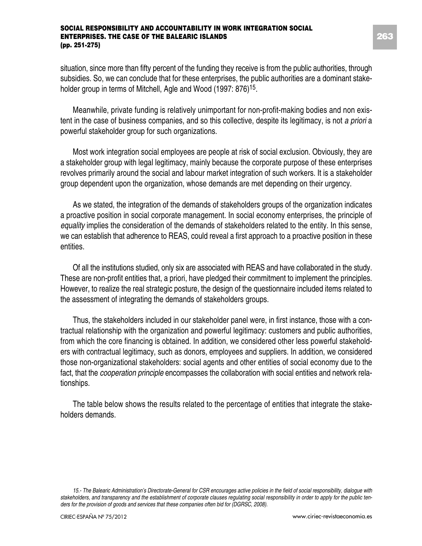situation, since more than fifty percent of the funding they receive is from the public authorities, through subsidies. So, we can conclude that for these enterprises, the public authorities are a dominant stakeholder group in terms of Mitchell, Agle and Wood (1997: 876)<sup>15</sup>.

Meanwhile, private funding is relatively unimportant for non-profit-making bodies and non existent in the case of business companies, and so this collective, despite its legitimacy, is not *a priori* a powerful stakeholder group for such organizations.

Most work integration social employees are people at risk of social exclusion. Obviously, they are a stakeholder group with legal legitimacy, mainly because the corporate purpose of these enterprises revolves primarily around the social and labour market integration of such workers. It is a stakeholder group dependent upon the organization, whose demands are met depending on their urgency.

As we stated, the integration of the demands of stakeholders groups of the organization indicates a proactive position in social corporate management. In social economy enterprises, the principle of *equality* implies the consideration of the demands of stakeholders related to the entity. In this sense, we can establish that adherence to REAS, could reveal a first approach to a proactive position in these entities.

Of all the institutions studied, only six are associated with REAS and have collaborated in the study. These are non-profit entities that, a priori, have pledged their commitment to implement the principles. However, to realize the real strategic posture, the design of the questionnaire included items related to the assessment of integrating the demands of stakeholders groups.

Thus, the stakeholders included in our stakeholder panel were, in first instance, those with a contractual relationship with the organization and powerful legitimacy: customers and public authorities, from which the core financing is obtained. In addition, we considered other less powerful stakeholders with contractual legitimacy, such as donors, employees and suppliers. In addition, we considered those non-organizational stakeholders: social agents and other entities of social economy due to the fact, that the *cooperation principle* encompasses the collaboration with social entities and network relationships.

The table below shows the results related to the percentage of entities that integrate the stakeholders demands.

<sup>15.-</sup> The Balearic Administration's Directorate-General for CSR encourages active policies in the field of social responsibility, dialogue with stakeholders, and transparency and the establishment of corporate clauses regulating social responsibility in order to apply for the public ten*ders for the provision of goods and services that these companies often bid for (DGRSC, 2008).*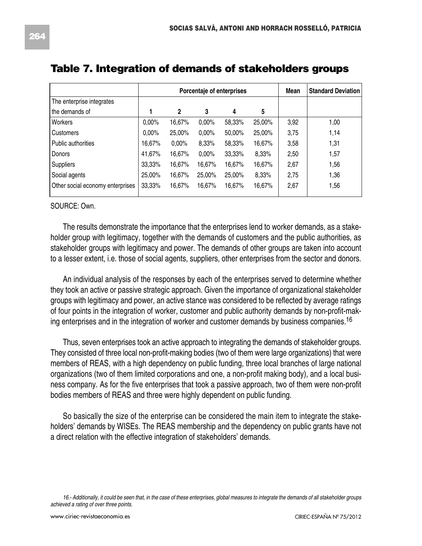|                                  |        | Porcentaje of enterprises |        |        |        |      | <b>Standard Deviation</b> |
|----------------------------------|--------|---------------------------|--------|--------|--------|------|---------------------------|
| The enterprise integrates        |        |                           |        |        |        |      |                           |
| the demands of                   |        | $\overline{2}$            | 3      | 4      | 5      |      |                           |
| Workers                          | 0.00%  | 16,67%                    | 0.00%  | 58,33% | 25,00% | 3,92 | 1,00                      |
| Customers                        | 0.00%  | 25,00%                    | 0.00%  | 50,00% | 25,00% | 3,75 | 1,14                      |
| Public authorities               | 16,67% | 0,00%                     | 8,33%  | 58,33% | 16,67% | 3,58 | 1,31                      |
| Donors                           | 41.67% | 16,67%                    | 0.00%  | 33,33% | 8,33%  | 2,50 | 1,57                      |
| <b>Suppliers</b>                 | 33,33% | 16,67%                    | 16.67% | 16.67% | 16,67% | 2,67 | 1,56                      |
| Social agents                    | 25.00% | 16,67%                    | 25.00% | 25.00% | 8,33%  | 2,75 | 1,36                      |
| Other social economy enterprises | 33,33% | 16,67%                    | 16,67% | 16.67% | 16.67% | 2,67 | 1,56                      |

#### **Table 7. Integration of demands of stakeholders groups**

SOURCE: Own.

The results demonstrate the importance that the enterprises lend to worker demands, as a stakeholder group with legitimacy, together with the demands of customers and the public authorities, as stakeholder groups with legitimacy and power. The demands of other groups are taken into account to a lesser extent, i.e. those of social agents, suppliers, other enterprises from the sector and donors.

An individual analysis of the responses by each of the enterprises served to determine whether they took an active or passive strategic approach. Given the importance of organizational stakeholder groups with legitimacy and power, an active stance was considered to be reflected by average ratings of four points in the integration of worker, customer and public authority demands by non-profit-making enterprises and in the integration of worker and customer demands by business companies.<sup>16</sup>

Thus, seven enterprises took an active approach to integrating the demands of stakeholder groups. They consisted of three local non-profit-making bodies (two of them were large organizations) that were members of REAS, with a high dependency on public funding, three local branches of large national organizations (two of them limited corporations and one, a non-profit making body), and a local business company. As for the five enterprises that took a passive approach, two of them were non-profit bodies members of REAS and three were highly dependent on public funding.

So basically the size of the enterprise can be considered the main item to integrate the stakeholders' demands by WISEs. The REAS membership and the dependency on public grants have not a direct relation with the effective integration of stakeholders' demands.

16 - Additionally, it could be seen that, in the case of these enterprises, global measures to integrate the demands of all stakeholder groups *achieved a rating of over three points.*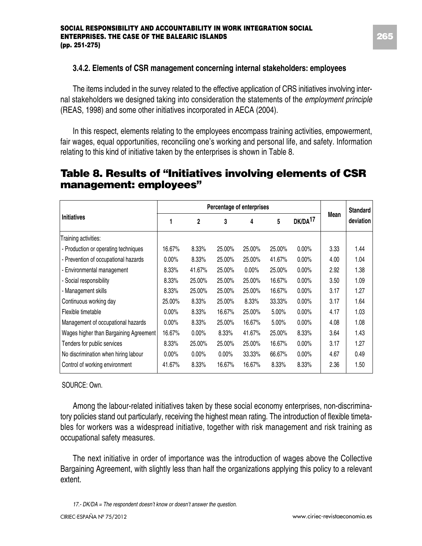#### **3.4.2. Elements of CSR management concerning internal stakeholders: employees**

The items included in the survey related to the effective application of CRS initiatives involving internal stakeholders we designed taking into consideration the statements of the *employment principle* (REAS, 1998) and some other initiatives incorporated in AECA (2004).

In this respect, elements relating to the employees encompass training activities, empowerment, fair wages, equal opportunities, reconciling one's working and personal life, and safety. Information relating to this kind of initiative taken by the enterprises is shown in Table 8.

### **Table 8. Results of "Initiatives involving elements of CSR management: employees"**

|                                        | Percentage of enterprises |                |          |          |        |                     |      | <b>Standard</b> |
|----------------------------------------|---------------------------|----------------|----------|----------|--------|---------------------|------|-----------------|
| <b>Initiatives</b>                     | 1                         | $\overline{c}$ | 3        | 4        | 5      | DK/DA <sup>17</sup> | Mean | deviation       |
| Training activities:                   |                           |                |          |          |        |                     |      |                 |
| - Production or operating techniques   | 16.67%                    | 8.33%          | 25.00%   | 25.00%   | 25.00% | 0.00%               | 3.33 | 1.44            |
| - Prevention of occupational hazards   | $0.00\%$                  | 8.33%          | 25.00%   | 25.00%   | 41.67% | 0.00%               | 4.00 | 1.04            |
| - Environmental management             | 8.33%                     | 41.67%         | 25.00%   | $0.00\%$ | 25.00% | 0.00%               | 2.92 | 1.38            |
| - Social responsibility                | 8.33%                     | 25.00%         | 25.00%   | 25.00%   | 16.67% | 0.00%               | 3.50 | 1.09            |
| - Management skills                    | 8.33%                     | 25.00%         | 25.00%   | 25.00%   | 16.67% | 0.00%               | 3.17 | 1.27            |
| Continuous working day                 | 25.00%                    | 8.33%          | 25.00%   | 8.33%    | 33.33% | 0.00%               | 3.17 | 1.64            |
| Flexible timetable                     | 0.00%                     | 8.33%          | 16.67%   | 25.00%   | 5.00%  | 0.00%               | 4.17 | 1.03            |
| Management of occupational hazards     | $0.00\%$                  | 8.33%          | 25.00%   | 16.67%   | 5.00%  | 0.00%               | 4.08 | 1.08            |
| Wages higher than Bargaining Agreement | 16.67%                    | 0.00%          | 8.33%    | 41.67%   | 25.00% | 8.33%               | 3.64 | 1.43            |
| Tenders for public services            | 8.33%                     | 25.00%         | 25.00%   | 25.00%   | 16.67% | 0.00%               | 3.17 | 1.27            |
| No discrimination when hiring labour   | $0.00\%$                  | 0.00%          | $0.00\%$ | 33.33%   | 66.67% | $0.00\%$            | 4.67 | 0.49            |
| Control of working environment         | 41.67%                    | 8.33%          | 16.67%   | 16.67%   | 8.33%  | 8.33%               | 2.36 | 1.50            |

#### SOURCE: Own.

Among the labour-related initiatives taken by these social economy enterprises, non-discriminatory policies stand out particularly, receiving the highest mean rating. The introduction of flexible timetables for workers was a widespread initiative, together with risk management and risk training as occupational safety measures.

The next initiative in order of importance was the introduction of wages above the Collective Bargaining Agreement, with slightly less than half the organizations applying this policy to a relevant extent.

*17.- DK/DA = The respondent doesn't know or doesn't answer the question.*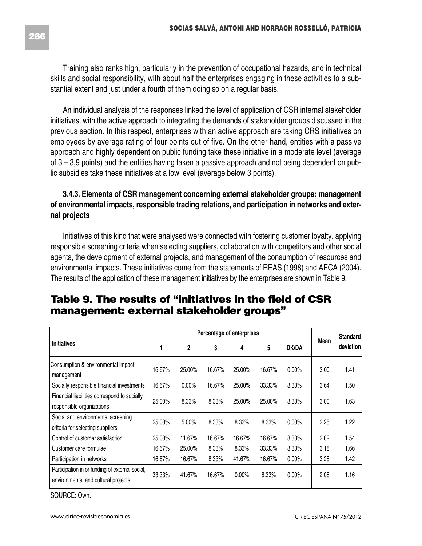Training also ranks high, particularly in the prevention of occupational hazards, and in technical skills and social responsibility, with about half the enterprises engaging in these activities to a substantial extent and just under a fourth of them doing so on a regular basis.

An individual analysis of the responses linked the level of application of CSR internal stakeholder initiatives, with the active approach to integrating the demands of stakeholder groups discussed in the previous section. In this respect, enterprises with an active approach are taking CRS initiatives on employees by average rating of four points out of five. On the other hand, entities with a passive approach and highly dependent on public funding take these initiative in a moderate level (average of 3 – 3,9 points) and the entities having taken a passive approach and not being dependent on public subsidies take these initiatives at a low level (average below 3 points).

#### **3.4.3. Elements of CSR management concerning external stakeholder groups: management of environmental impacts, responsible trading relations, and participation in networks and external projects**

Initiatives of this kind that were analysed were connected with fostering customer loyalty, applying responsible screening criteria when selecting suppliers, collaboration with competitors and other social agents, the development of external projects, and management of the consumption of resources and environmental impacts. These initiatives come from the statements of REAS (1998) and AECA (2004). The results of the application of these management initiatives by the enterprises are shown in Table 9.

### **Table 9. The results of "initiatives in the field of CSR management: external stakeholder groups"**

|                                                                                        | Percentage of enterprises |          |        |          |        |          | Mean | <b>Standard</b> |
|----------------------------------------------------------------------------------------|---------------------------|----------|--------|----------|--------|----------|------|-----------------|
| <b>Initiatives</b>                                                                     | 1                         | 2        | 3      | 4        | 5      | DK/DA    |      | deviation       |
| Consumption & environmental impact<br>management                                       | 16.67%                    | 25.00%   | 16.67% | 25.00%   | 16.67% | $0.00\%$ | 3.00 | 1.41            |
| Socially responsible financial investments                                             | 16.67%                    | $0.00\%$ | 16.67% | 25.00%   | 33.33% | 8.33%    | 3.64 | 1.50            |
| Financial liabilities correspond to socially<br>responsible organizations              | 25.00%                    | 8.33%    | 8.33%  | 25.00%   | 25.00% | 8.33%    | 3.00 | 1.63            |
| Social and environmental screening<br>criteria for selecting suppliers                 | 25.00%                    | 5.00%    | 8.33%  | 8.33%    | 8.33%  | 0.00%    | 2.25 | 1.22            |
| Control of customer satisfaction                                                       | 25.00%                    | 11.67%   | 16.67% | 16.67%   | 16.67% | 8.33%    | 2.82 | 1.54            |
| Customer care formulae                                                                 | 16.67%                    | 25.00%   | 8.33%  | 8.33%    | 33.33% | 8.33%    | 3.18 | 1.66            |
| Participation in networks                                                              | 16.67%                    | 16.67%   | 8.33%  | 41.67%   | 16.67% | 0.00%    | 3.25 | 1.42            |
| Participation in or funding of external social,<br>environmental and cultural projects | 33.33%                    | 41.67%   | 16.67% | $0.00\%$ | 8.33%  | 0.00%    | 2.08 | 1.16            |

SOURCE: Own.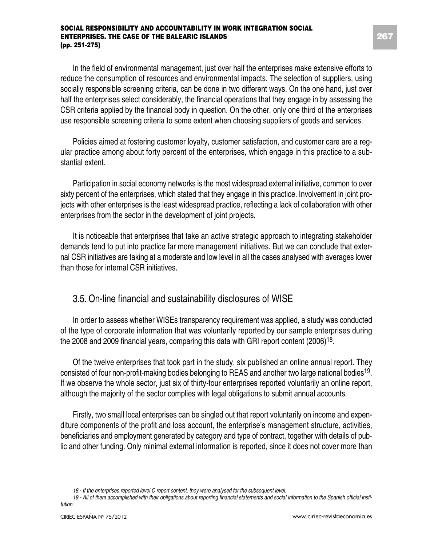In the field of environmental management, just over half the enterprises make extensive efforts to reduce the consumption of resources and environmental impacts. The selection of suppliers, using socially responsible screening criteria, can be done in two different ways. On the one hand, just over half the enterprises select considerably, the financial operations that they engage in by assessing the CSR criteria applied by the financial body in question. On the other, only one third of the enterprises use responsible screening criteria to some extent when choosing suppliers of goods and services.

Policies aimed at fostering customer loyalty, customer satisfaction, and customer care are a regular practice among about forty percent of the enterprises, which engage in this practice to a substantial extent.

Participation in social economy networks is the most widespread external initiative, common to over sixty percent of the enterprises, which stated that they engage in this practice. Involvement in joint projects with other enterprises is the least widespread practice, reflecting a lack of collaboration with other enterprises from the sector in the development of joint projects.

It is noticeable that enterprises that take an active strategic approach to integrating stakeholder demands tend to put into practice far more management initiatives. But we can conclude that external CSR initiatives are taking at a moderate and low level in all the cases analysed with averages lower than those for internal CSR initiatives.

#### 3.5. On-line financial and sustainability disclosures of WISE

In order to assess whether WISEs transparency requirement was applied, a study was conducted of the type of corporate information that was voluntarily reported by our sample enterprises during the 2008 and 2009 financial years, comparing this data with GRI report content (2006)<sup>18</sup>.

Of the twelve enterprises that took part in the study, six published an online annual report. They consisted of four non-profit-making bodies belonging to REAS and another two large national bodies19. If we observe the whole sector, just six of thirty-four enterprises reported voluntarily an online report, although the majority of the sector complies with legal obligations to submit annual accounts.

Firstly, two small local enterprises can be singled out that report voluntarily on income and expenditure components of the profit and loss account, the enterprise's management structure, activities, beneficiaries and employment generated by category and type of contract, together with details of public and other funding. Only minimal external information is reported, since it does not cover more than

*<sup>18.-</sup> If the enterprises reported level C report content, they were analysed for the subsequent level.*

<sup>19.</sup> All of them accomplished with their obligations about reporting financial statements and social information to the Spanish official insti*tution.*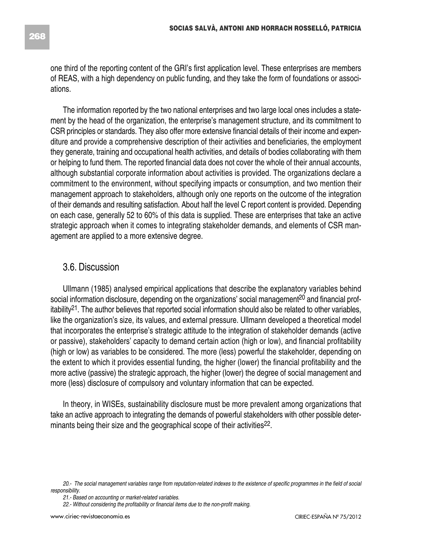The information reported by the two national enterprises and two large local ones includes a statement by the head of the organization, the enterprise's management structure, and its commitment to CSR principles or standards. They also offer more extensive financial details of their income and expenditure and provide a comprehensive description of their activities and beneficiaries, the employment they generate, training and occupational health activities, and details of bodies collaborating with them or helping to fund them. The reported financial data does not cover the whole of their annual accounts, although substantial corporate information about activities is provided. The organizations declare a commitment to the environment, without specifying impacts or consumption, and two mention their management approach to stakeholders, although only one reports on the outcome of the integration of their demands and resulting satisfaction. About half the level C report content is provided. Depending on each case, generally 52 to 60% of this data is supplied. These are enterprises that take an active strategic approach when it comes to integrating stakeholder demands, and elements of CSR management are applied to a more extensive degree.

#### 3.6. Discussion

Ullmann (1985) analysed empirical applications that describe the explanatory variables behind social information disclosure, depending on the organizations' social management<sup>20</sup> and financial profitability<sup>21</sup>. The author believes that reported social information should also be related to other variables, like the organization's size, its values, and external pressure. Ullmann developed a theoretical model that incorporates the enterprise's strategic attitude to the integration of stakeholder demands (active or passive), stakeholders' capacity to demand certain action (high or low), and financial profitability (high or low) as variables to be considered. The more (less) powerful the stakeholder, depending on the extent to which it provides essential funding, the higher (lower) the financial profitability and the more active (passive) the strategic approach, the higher (lower) the degree of social management and more (less) disclosure of compulsory and voluntary information that can be expected.

In theory, in WISEs, sustainability disclosure must be more prevalent among organizations that take an active approach to integrating the demands of powerful stakeholders with other possible determinants being their size and the geographical scope of their activities<sup>22</sup>.

<sup>20.-</sup> The social management variables range from reputation-related indexes to the existence of specific programmes in the field of social *responsibility.*

*<sup>21.-</sup> Based on accounting or market-related variables.*

*<sup>22.-</sup> Without considering the profitability or financial items due to the non-profit making.*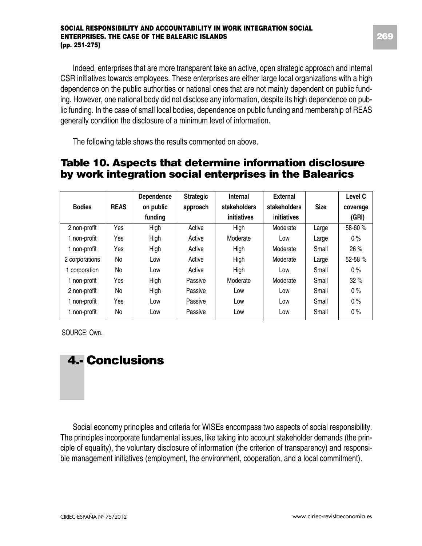Indeed, enterprises that are more transparent take an active, open strategic approach and internal CSR initiatives towards employees. These enterprises are either large local organizations with a high dependence on the public authorities or national ones that are not mainly dependent on public funding. However, one national body did not disclose any information, despite its high dependence on public funding. In the case of small local bodies, dependence on public funding and membership of REAS generally condition the disclosure of a minimum level of information.

The following table shows the results commented on above.

### **Table 10. Aspects that determine information disclosure by work integration social enterprises in the Balearics**

|                |             | Dependence | <b>Strategic</b> | Internal     | External     |             | Level C  |
|----------------|-------------|------------|------------------|--------------|--------------|-------------|----------|
| <b>Bodies</b>  | <b>REAS</b> | on public  | approach         | stakeholders | stakeholders | <b>Size</b> | coverage |
|                |             | funding    |                  | initiatives  | initiatives  |             | (GRI)    |
| 2 non-profit   | Yes         | High       | Active           | High         | Moderate     | Large       | 58-60 %  |
| 1 non-profit   | Yes         | High       | Active           | Moderate     | Low          | Large       | $0\%$    |
| 1 non-profit   | Yes         | High       | Active           | High         | Moderate     | Small       | 26%      |
| 2 corporations | No          | Low        | Active           | High         | Moderate     | Large       | 52-58%   |
| 1 corporation  | No          | Low        | Active           | High         | Low          | Small       | 0%       |
| 1 non-profit   | Yes         | High       | Passive          | Moderate     | Moderate     | Small       | 32%      |
| 2 non-profit   | No          | High       | Passive          | Low          | Low          | Small       | 0%       |
| 1 non-profit   | Yes         | Low        | Passive          | Low          | Low          | Small       | 0%       |
| 1 non-profit   | No          | Low        | Passive          | Low          | Low          | Small       | 0%       |

SOURCE: Own.

# **4.- Conclusions**

Social economy principles and criteria for WISEs encompass two aspects of social responsibility. The principles incorporate fundamental issues, like taking into account stakeholder demands (the principle of equality), the voluntary disclosure of information (the criterion of transparency) and responsible management initiatives (employment, the environment, cooperation, and a local commitment).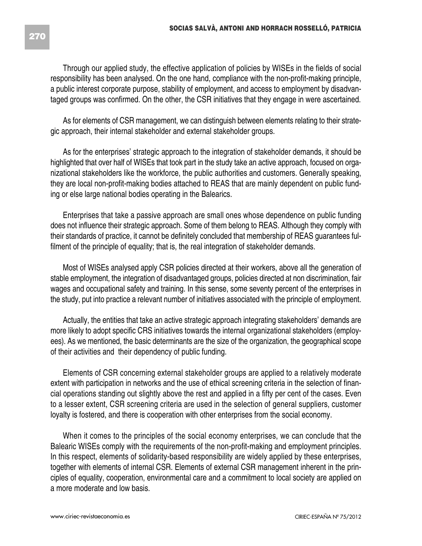Through our applied study, the effective application of policies by WISEs in the fields of social responsibility has been analysed. On the one hand, compliance with the non-profit-making principle, a public interest corporate purpose, stability of employment, and access to employment by disadvantaged groups was confirmed. On the other, the CSR initiatives that they engage in were ascertained.

As for elements of CSR management, we can distinguish between elements relating to their strategic approach, their internal stakeholder and external stakeholder groups.

As for the enterprises' strategic approach to the integration of stakeholder demands, it should be highlighted that over half of WISEs that took part in the study take an active approach, focused on organizational stakeholders like the workforce, the public authorities and customers. Generally speaking, they are local non-profit-making bodies attached to REAS that are mainly dependent on public funding or else large national bodies operating in the Balearics.

Enterprises that take a passive approach are small ones whose dependence on public funding does not influence their strategic approach. Some of them belong to REAS. Although they comply with their standards of practice, it cannot be definitely concluded that membership of REAS guarantees fulfilment of the principle of equality; that is, the real integration of stakeholder demands.

Most of WISEs analysed apply CSR policies directed at their workers, above all the generation of stable employment, the integration of disadvantaged groups, policies directed at non discrimination, fair wages and occupational safety and training. In this sense, some seventy percent of the enterprises in the study, put into practice a relevant number of initiatives associated with the principle of employment.

Actually, the entities that take an active strategic approach integrating stakeholders' demands are more likely to adopt specific CRS initiatives towards the internal organizational stakeholders (employees). As we mentioned, the basic determinants are the size of the organization, the geographical scope of their activities and their dependency of public funding.

Elements of CSR concerning external stakeholder groups are applied to a relatively moderate extent with participation in networks and the use of ethical screening criteria in the selection of financial operations standing out slightly above the rest and applied in a fifty per cent of the cases. Even to a lesser extent, CSR screening criteria are used in the selection of general suppliers, customer loyalty is fostered, and there is cooperation with other enterprises from the social economy.

When it comes to the principles of the social economy enterprises, we can conclude that the Balearic WISEs comply with the requirements of the non-profit-making and employment principles. In this respect, elements of solidarity-based responsibility are widely applied by these enterprises, together with elements of internal CSR. Elements of external CSR management inherent in the principles of equality, cooperation, environmental care and a commitment to local society are applied on a more moderate and low basis.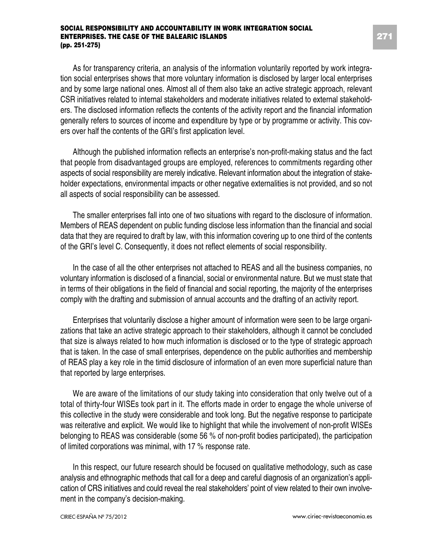As for transparency criteria, an analysis of the information voluntarily reported by work integration social enterprises shows that more voluntary information is disclosed by larger local enterprises and by some large national ones. Almost all of them also take an active strategic approach, relevant CSR initiatives related to internal stakeholders and moderate initiatives related to external stakeholders. The disclosed information reflects the contents of the activity report and the financial information generally refers to sources of income and expenditure by type or by programme or activity. This covers over half the contents of the GRI's first application level.

Although the published information reflects an enterprise's non-profit-making status and the fact that people from disadvantaged groups are employed, references to commitments regarding other aspects of social responsibility are merely indicative. Relevant information about the integration of stakeholder expectations, environmental impacts or other negative externalities is not provided, and so not all aspects of social responsibility can be assessed.

The smaller enterprises fall into one of two situations with regard to the disclosure of information. Members of REAS dependent on public funding disclose less information than the financial and social data that they are required to draft by law, with this information covering up to one third of the contents of the GRI's level C. Consequently, it does not reflect elements of social responsibility.

In the case of all the other enterprises not attached to REAS and all the business companies, no voluntary information is disclosed of a financial, social or environmental nature. But we must state that in terms of their obligations in the field of financial and social reporting, the majority of the enterprises comply with the drafting and submission of annual accounts and the drafting of an activity report.

Enterprises that voluntarily disclose a higher amount of information were seen to be large organizations that take an active strategic approach to their stakeholders, although it cannot be concluded that size is always related to how much information is disclosed or to the type of strategic approach that is taken. In the case of small enterprises, dependence on the public authorities and membership of REAS play a key role in the timid disclosure of information of an even more superficial nature than that reported by large enterprises.

We are aware of the limitations of our study taking into consideration that only twelve out of a total of thirty-four WISEs took part in it. The efforts made in order to engage the whole universe of this collective in the study were considerable and took long. But the negative response to participate was reiterative and explicit. We would like to highlight that while the involvement of non-profit WISEs belonging to REAS was considerable (some 56 % of non-profit bodies participated), the participation of limited corporations was minimal, with 17 % response rate.

In this respect, our future research should be focused on qualitative methodology, such as case analysis and ethnographic methods that call for a deep and careful diagnosis of an organization's application of CRS initiatives and could reveal the real stakeholders' point of view related to their own involvement in the company's decision-making.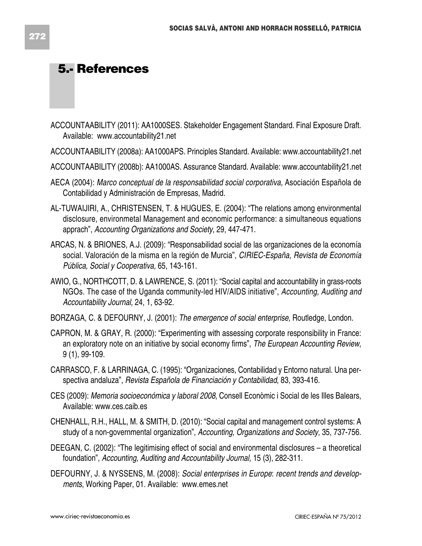### **5.- References**

- ACCOUNTAABILITY (2011): AA1000SES. Stakeholder Engagement Standard. Final Exposure Draft. Available: www.accountability21.net
- ACCOUNTAABILITY (2008a): AA1000APS. Principles Standard. Available: www.accountability21.net
- ACCOUNTAABILITY (2008b): AA1000AS. Assurance Standard. Available: www.accountability21.net
- AECA (2004): *Marco conceptual de la responsabilidad social corporativa,* Asociación Española de Contabilidad y Administración de Empresas, Madrid.
- AL-TUWAIJIRI, A., CHRISTENSEN, T. & HUGUES, E. (2004): "The relations among environmental disclosure, environmetal Management and economic performance: a simultaneous equations apprach", *Accounting Organizations and Society*, 29, 447-471.
- ARCAS, N. & BRIONES, A.J. (2009): "Responsabilidad social de las organizaciones de la economía social. Valoración de la misma en la región de Murcia", *CIRIEC-España, Revista de Economía Pública, Social y Cooperativa,* 65, 143-161.
- AWIO, G., NORTHCOTT, D. & LAWRENCE, S. (2011): "Social capital and accountability in grass-roots NGOs. The case of the Uganda community-led HIV/AIDS initiative", *Accounting, Auditing and Accountability Journal,* 24, 1, 63-92.
- BORZAGA, C. & DEFOURNY, J. (2001): *The emergence of social enterprise,* Routledge, London.
- CAPRON, M. & GRAY, R. (2000): "Experimenting with assessing corporate responsibility in France: an exploratory note on an initiative by social economy firms", *The European Accounting Review*, 9 (1), 99-109.
- CARRASCO, F. & LARRINAGA, C. (1995): "Organizaciones, Contabilidad y Entorno natural. Una perspectiva andaluza", *Revista Española de Financiación y Contabilidad*, 83, 393-416.
- CES (2009): *Memoria socioeconómica y laboral 2008*, Consell Econòmic i Social de les Illes Balears, Available: www.ces.caib.es
- CHENHALL, R.H., HALL, M. & SMITH, D. (2010): "Social capital and management control systems: A study of a non-governmental organization", *Accounting, Organizations and Society*, 35, 737-756.
- DEEGAN, C. (2002): "The legitimising effect of social and environmental disclosures a theoretical foundation", *Accounting, Auditing and Accountability Journal,* 15 (3), 282-311.
- DEFOURNY, J. & NYSSENS, M. (2008): *Social enterprises in Europe*: *recent trends and developments*, Working Paper, 01. Available: www.emes.net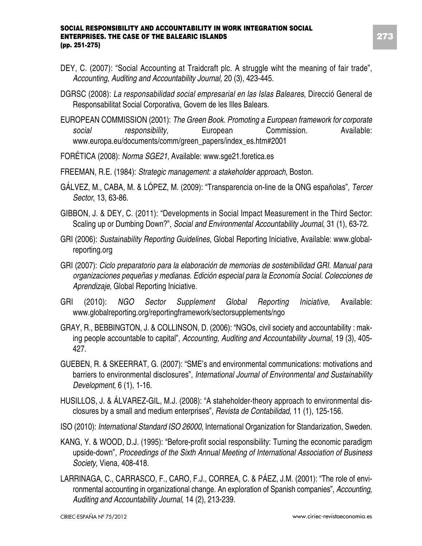- DEY, C. (2007): "Social Accounting at Traidcraft plc. A struggle wiht the meaning of fair trade", *Accounting, Auditing and Accountability Journal,* 20 (3), 423-445.
- DGRSC (2008): *La responsabilidad social empresarial en las Islas Baleares*, Direcció General de Responsabilitat Social Corporativa, Govern de les Illes Balears.
- EUROPEAN COMMISSION (2001): *The Green Book. Promoting a European framework for corporate social responsibility,* European Commission*.* Available: www.europa.eu/documents/comm/green\_papers/index\_es.htm#2001
- FORÉTICA (2008): *Norma SGE21*, Available: www.sge21.foretica.es
- FREEMAN, R.E. (1984): *Strategic management: a stakeholder approach,* Boston.
- GÁLVEZ, M., CABA, M. & LÓPEZ, M. (2009): "Transparencia on-line de la ONG españolas", *Tercer Sector*, 13, 63-86.
- GIBBON, J. & DEY, C. (2011): "Developments in Social Impact Measurement in the Third Sector: Scaling up or Dumbing Down?", *Social and Environmental Accountability Journal*, 31 (1), 63-72.
- GRI (2006): *Sustainability Reporting Guidelines,* Global Reporting Iniciative, Available: www.globalreporting.org
- GRI (2007): *Ciclo preparatorio para la elaboración de memorias de sostenibilidad GRI. Manual para organizaciones pequeñas y medianas. Edición especial para la Economía Social. Colecciones de Aprendizaje*, Global Reporting Iniciative.
- GRI (2010): *NGO Sector Supplement Global Reporting Iniciative*, Available: www.globalreporting.org/reportingframework/sectorsupplements/ngo
- GRAY, R., BEBBINGTON, J. & COLLINSON, D. (2006): "NGOs, civil society and accountability : making people accountable to capital", *Accounting, Auditing and Accountability Journal*, 19 (3), 405- 427.
- GUEBEN, R. & SKEERRAT, G. (2007): "SME's and environmental communications: motivations and barriers to environmental disclosures", *International Journal of Environmental and Sustainability Development*, 6 (1), 1-16.
- HUSILLOS, J. & ÁLVAREZ-GIL, M.J. (2008): "A staheholder-theory approach to environmental disclosures by a small and medium enterprises", *Revista de Contabilidad,* 11 (1), 125-156.
- ISO (2010): *International Standard ISO 26000,* International Organization for Standarization, Sweden.
- KANG, Y. & WOOD, D.J. (1995): "Before-profit social responsibility: Turning the economic paradigm upside-down", *Proceedings of the Sixth Annual Meeting of International Association of Business Society*, Viena, 408-418.
- LARRINAGA, C., CARRASCO, F., CARO, F.J., CORREA, C. & PÁEZ, J.M. (2001): "The role of environmental accounting in organizational change. An exploration of Spanish companies", *Accounting, Auditing and Accountability Journal*, 14 (2), 213-239.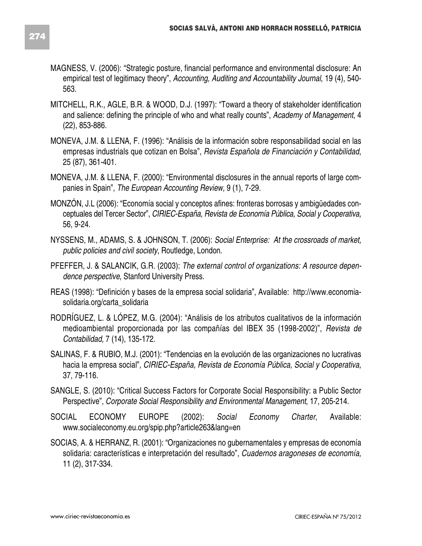- MAGNESS, V. (2006): "Strategic posture, financial performance and environmental disclosure: An empirical test of legitimacy theory", *Accounting, Auditing and Accountability Journal*, 19 (4), 540- 563.
- MITCHELL, R.K., AGLE, B.R. & WOOD, D.J. (1997): "Toward a theory of stakeholder identification and salience: defining the principle of who and what really counts", *Academy of Management*, 4 (22), 853-886.
- MONEVA, J.M. & LLENA, F. (1996): "Análisis de la información sobre responsabilidad social en las empresas industrials que cotizan en Bolsa", *Revista Española de Financiación y Contabilidad*, 25 (87), 361-401.
- MONEVA, J.M. & LLENA, F. (2000): "Environmental disclosures in the annual reports of large companies in Spain", *The European Accounting Review,* 9 (1), 7-29.
- MONZÓN, J.L (2006): "Economía social y conceptos afines: fronteras borrosas y ambigüedades conceptuales del Tercer Sector", *CIRIEC-España, Revista de Economía Pública, Social y Cooperativa,* 56, 9-24.
- NYSSENS, M., ADAMS, S. & JOHNSON, T. (2006): *Social Enterprise: At the crossroads of market, public policies and civil society*, Routledge, London.
- PFEFFER, J. & SALANCIK, G.R. (2003): *The external control of organizations: A resource dependence perspective*, Stanford University Press.
- REAS (1998): "Definición y bases de la empresa social solidaria", Available: http://www.economiasolidaria.org/carta\_solidaria
- RODRÍGUEZ, L. & LÓPEZ, M.G. (2004): "Análisis de los atributos cualitativos de la información medioambiental proporcionada por las compañías del IBEX 35 (1998-2002)", *Revista de Contabilidad*, 7 (14), 135-172.
- SALINAS, F. & RUBIO, M.J. (2001): "Tendencias en la evolución de las organizaciones no lucrativas hacia la empresa social", *CIRIEC-España, Revista de Economía Pública, Social y Cooperativa,* 37, 79-116.
- SANGLE, S. (2010): "Critical Success Factors for Corporate Social Responsibility: a Public Sector Perspective", *Corporate Social Responsibility and Environmental Management*, 17, 205-214.
- SOCIAL ECONOMY EUROPE (2002): *Social Economy Charter*, Available: www.socialeconomy.eu.org/spip.php?article263&lang=en
- SOCIAS, A. & HERRANZ, R. (2001): "Organizaciones no gubernamentales y empresas de economía solidaria: características e interpretación del resultado", *Cuadernos aragoneses de economía,* 11 (2), 317-334.